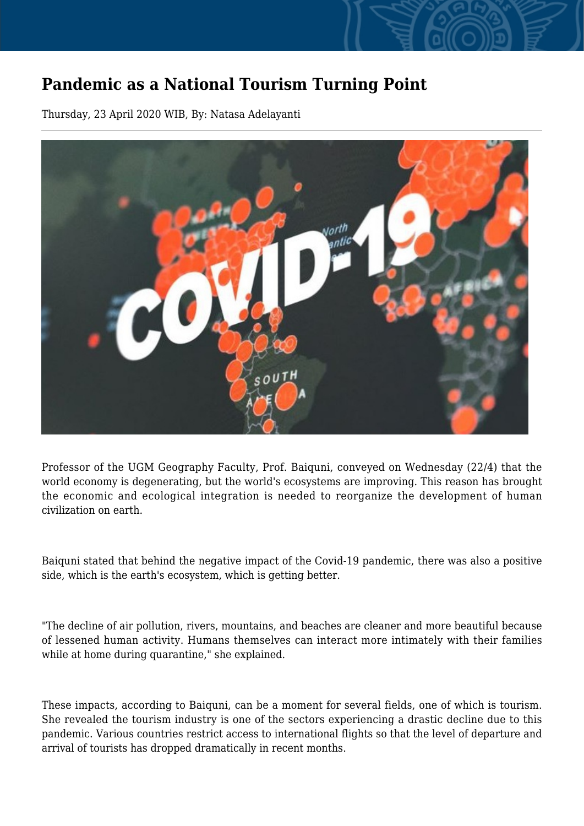## **Pandemic as a National Tourism Turning Point**

Thursday, 23 April 2020 WIB, By: Natasa Adelayanti



Professor of the UGM Geography Faculty, Prof. Baiquni, conveyed on Wednesday (22/4) that the world economy is degenerating, but the world's ecosystems are improving. This reason has brought the economic and ecological integration is needed to reorganize the development of human civilization on earth.

Baiquni stated that behind the negative impact of the Covid-19 pandemic, there was also a positive side, which is the earth's ecosystem, which is getting better.

"The decline of air pollution, rivers, mountains, and beaches are cleaner and more beautiful because of lessened human activity. Humans themselves can interact more intimately with their families while at home during quarantine," she explained.

These impacts, according to Baiquni, can be a moment for several fields, one of which is tourism. She revealed the tourism industry is one of the sectors experiencing a drastic decline due to this pandemic. Various countries restrict access to international flights so that the level of departure and arrival of tourists has dropped dramatically in recent months.